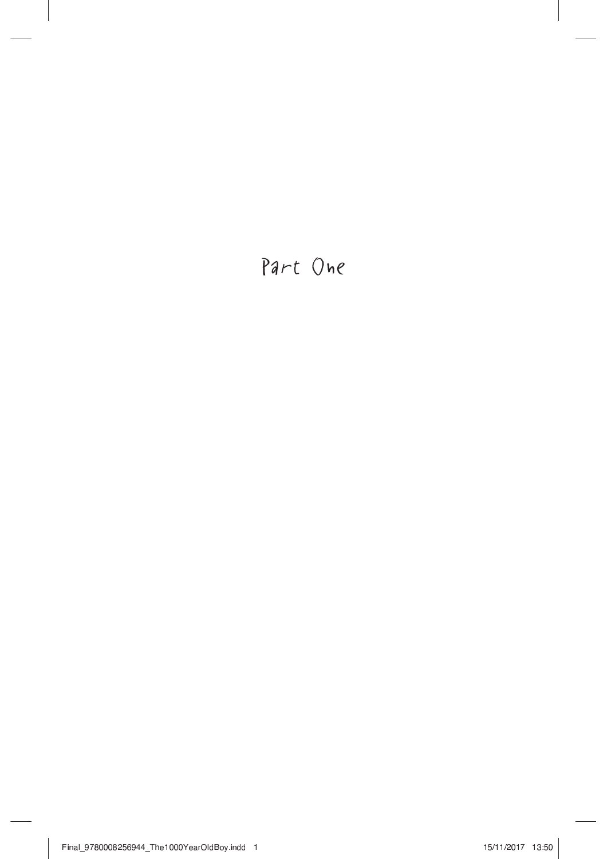## Part One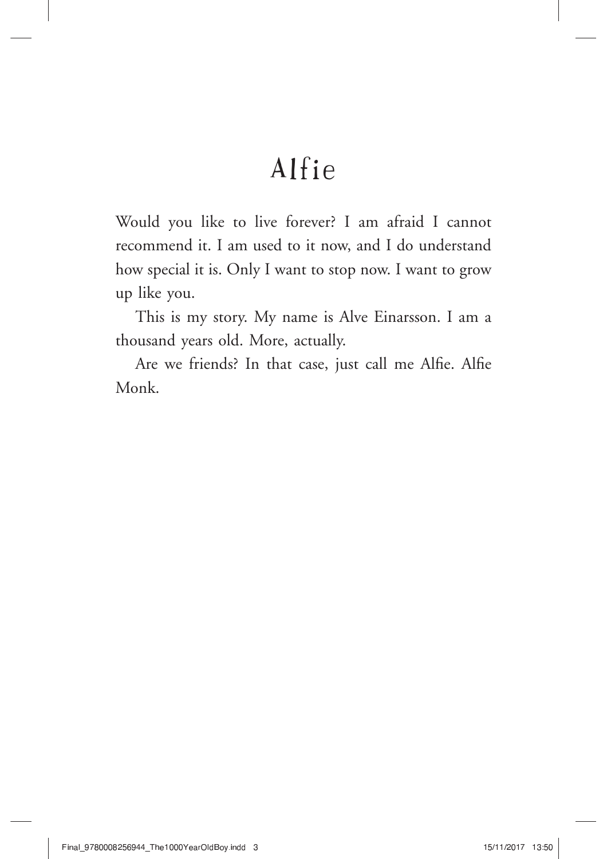## Alfie

Would you like to live forever? I am afraid I cannot recommend it. I am used to it now, and I do understand how special it is. Only I want to stop now. I want to grow up like you.

This is my story. My name is Alve Einarsson. I am a thousand years old. More, actually.

Are we friends? In that case, just call me Alfie. Alfie Monk.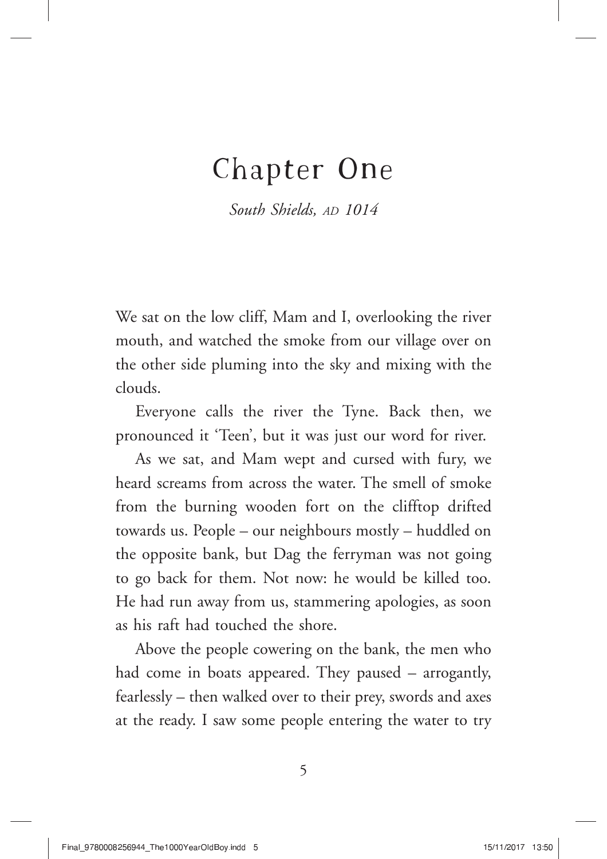## Chapter One

*South Shields, AD 1014*

We sat on the low cliff, Mam and I, overlooking the river mouth, and watched the smoke from our village over on the other side pluming into the sky and mixing with the clouds.

Everyone calls the river the Tyne. Back then, we pronounced it 'Teen', but it was just our word for river.

As we sat, and Mam wept and cursed with fury, we heard screams from across the water. The smell of smoke from the burning wooden fort on the clifftop drifted towards us. People – our neighbours mostly – huddled on the opposite bank, but Dag the ferryman was not going to go back for them. Not now: he would be killed too. He had run away from us, stammering apologies, as soon as his raft had touched the shore.

Above the people cowering on the bank, the men who had come in boats appeared. They paused – arrogantly, fearlessly – then walked over to their prey, swords and axes at the ready. I saw some people entering the water to try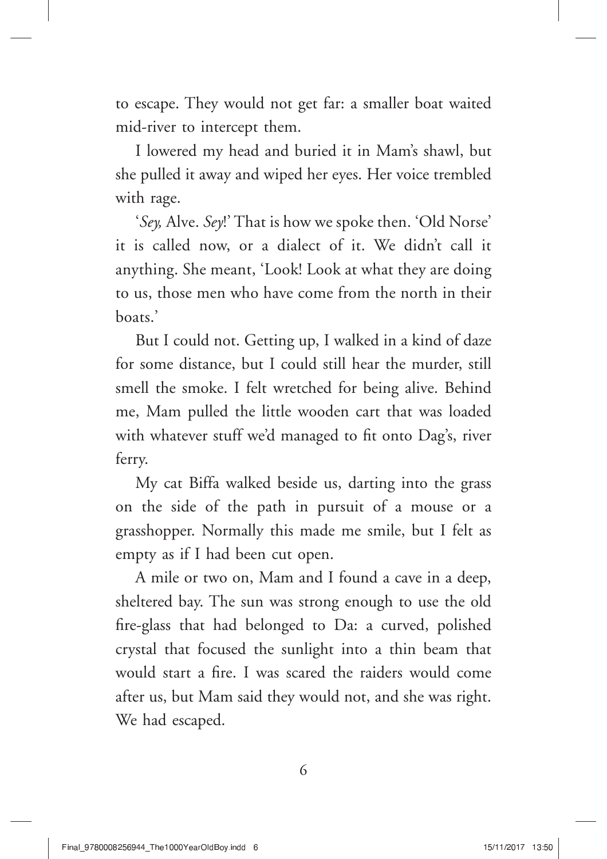to escape. They would not get far: a smaller boat waited mid-river to intercept them.

I lowered my head and buried it in Mam's shawl, but she pulled it away and wiped her eyes. Her voice trembled with rage.

'*Sey,* Alve. *Sey*!' That is how we spoke then. 'Old Norse' it is called now, or a dialect of it. We didn't call it anything. She meant, 'Look! Look at what they are doing to us, those men who have come from the north in their boats.'

But I could not. Getting up, I walked in a kind of daze for some distance, but I could still hear the murder, still smell the smoke. I felt wretched for being alive. Behind me, Mam pulled the little wooden cart that was loaded with whatever stuff we'd managed to fit onto Dag's, river ferry.

My cat Biffa walked beside us, darting into the grass on the side of the path in pursuit of a mouse or a grasshopper. Normally this made me smile, but I felt as empty as if I had been cut open.

A mile or two on, Mam and I found a cave in a deep, sheltered bay. The sun was strong enough to use the old fire-glass that had belonged to Da: a curved, polished crystal that focused the sunlight into a thin beam that would start a fire. I was scared the raiders would come after us, but Mam said they would not, and she was right. We had escaped.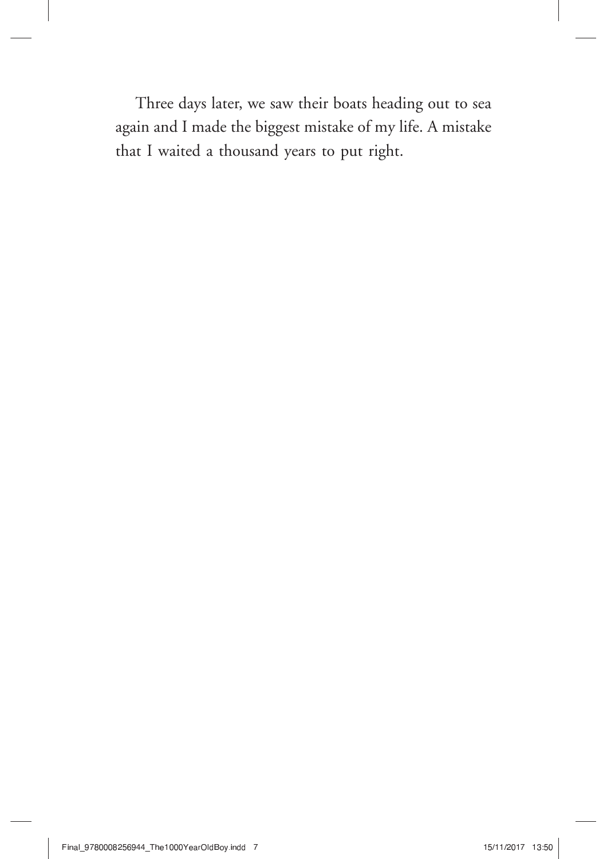Three days later, we saw their boats heading out to sea again and I made the biggest mistake of my life. A mistake that I waited a thousand years to put right.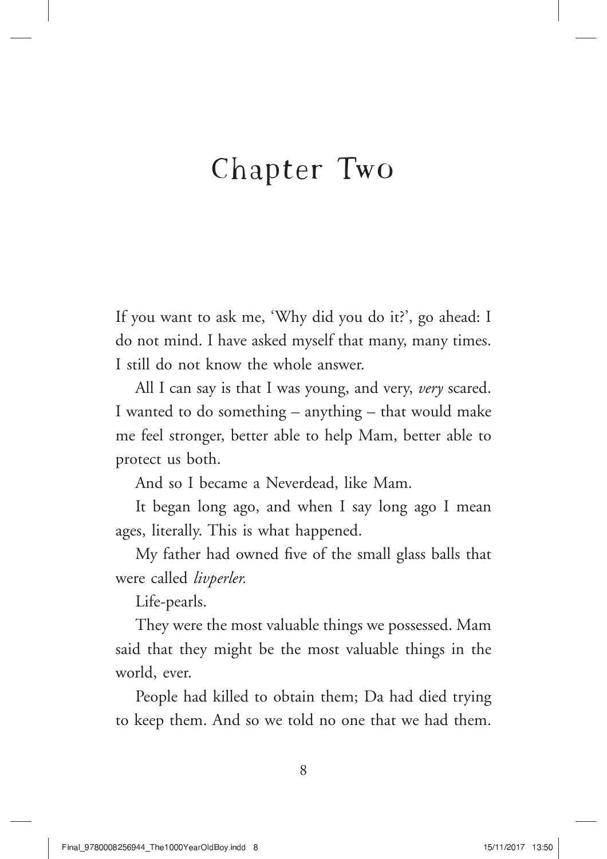## Chapter Two

If you want to ask me, 'Why did you do it?', go ahead: I do not mind. I have asked myself that many, many times. I still do not know the whole answer.

All I can say is that I was young, and very, *very* scared. I wanted to do something – anything – that would make me feel stronger, better able to help Mam, better able to protect us both.

And so I became a Neverdead, like Mam.

It began long ago, and when I say long ago I mean ages, literally. This is what happened.

My father had owned five of the small glass balls that were called *livperler.*

Life-pearls.

They were the most valuable things we possessed. Mam said that they might be the most valuable things in the world, ever.

People had killed to obtain them; Da had died trying to keep them. And so we told no one that we had them.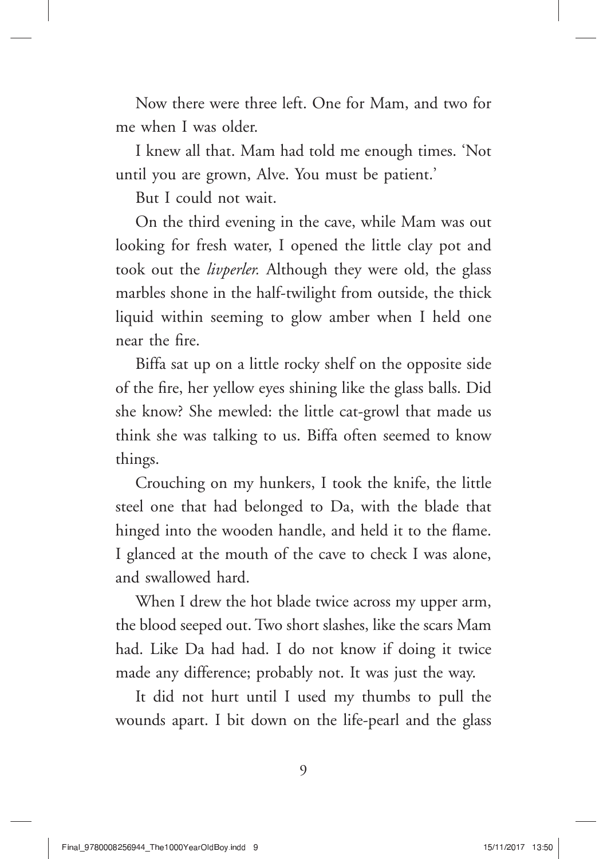Now there were three left. One for Mam, and two for me when I was older.

I knew all that. Mam had told me enough times. 'Not until you are grown, Alve. You must be patient.'

But I could not wait.

On the third evening in the cave, while Mam was out looking for fresh water, I opened the little clay pot and took out the *livperler.* Although they were old, the glass marbles shone in the half-twilight from outside, the thick liquid within seeming to glow amber when I held one near the fire.

Biffa sat up on a little rocky shelf on the opposite side of the fire, her yellow eyes shining like the glass balls. Did she know? She mewled: the little cat-growl that made us think she was talking to us. Biffa often seemed to know things.

Crouching on my hunkers, I took the knife, the little steel one that had belonged to Da, with the blade that hinged into the wooden handle, and held it to the flame. I glanced at the mouth of the cave to check I was alone, and swallowed hard.

When I drew the hot blade twice across my upper arm, the blood seeped out. Two short slashes, like the scars Mam had. Like Da had had. I do not know if doing it twice made any difference; probably not. It was just the way.

It did not hurt until I used my thumbs to pull the wounds apart. I bit down on the life-pearl and the glass

9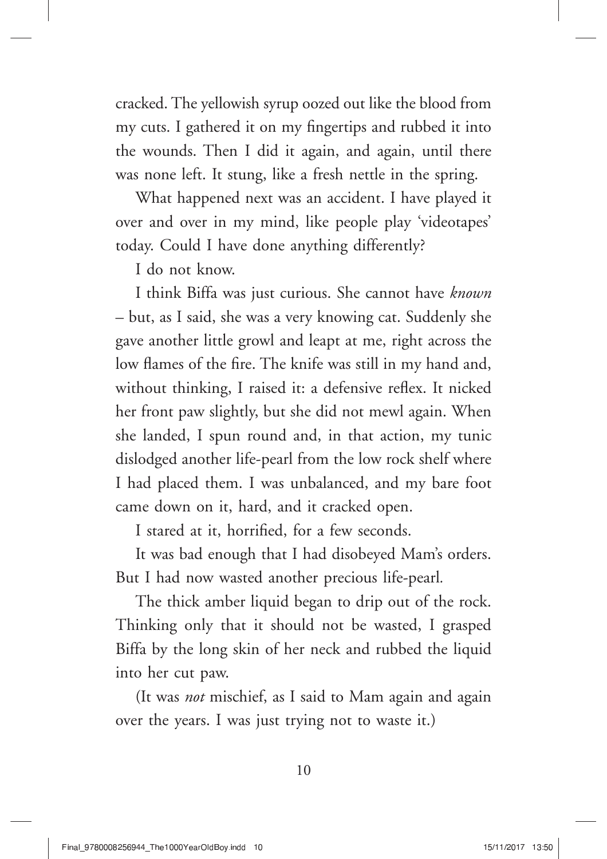cracked. The yellowish syrup oozed out like the blood from my cuts. I gathered it on my fingertips and rubbed it into the wounds. Then I did it again, and again, until there was none left. It stung, like a fresh nettle in the spring.

What happened next was an accident. I have played it over and over in my mind, like people play 'videotapes' today. Could I have done anything differently?

I do not know.

I think Biffa was just curious. She cannot have *known* – but, as I said, she was a very knowing cat. Suddenly she gave another little growl and leapt at me, right across the low flames of the fire. The knife was still in my hand and, without thinking, I raised it: a defensive reflex. It nicked her front paw slightly, but she did not mewl again. When she landed, I spun round and, in that action, my tunic dislodged another life-pearl from the low rock shelf where I had placed them. I was unbalanced, and my bare foot came down on it, hard, and it cracked open.

I stared at it, horrified, for a few seconds.

It was bad enough that I had disobeyed Mam's orders. But I had now wasted another precious life-pearl*.*

The thick amber liquid began to drip out of the rock. Thinking only that it should not be wasted, I grasped Biffa by the long skin of her neck and rubbed the liquid into her cut paw.

(It was *not* mischief, as I said to Mam again and again over the years. I was just trying not to waste it.)